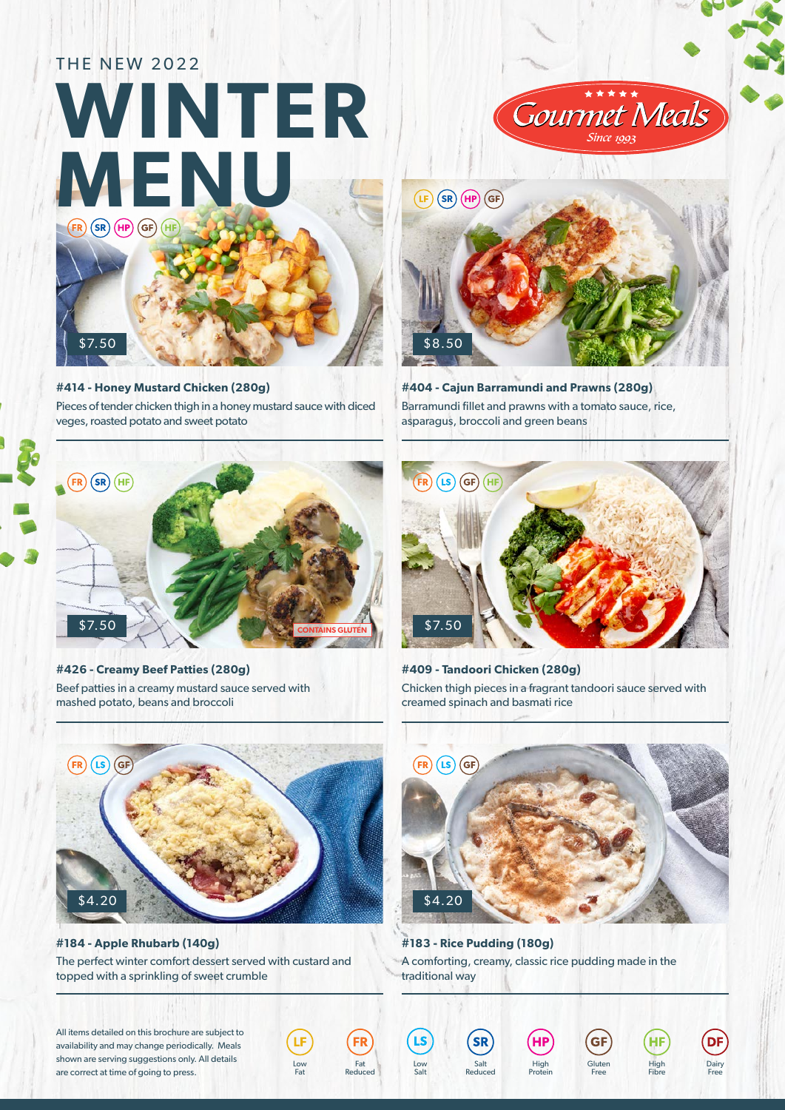## THE NEW 2022 **WINTER MENU FR**  $\overline{\text{SR}}$   $\overline{\text{HP}}$   $\overline{\text{GF}}$   $\overline{\text{HF}}$

**#414 - Honey Mustard Chicken (280g)** Pieces of tender chicken thigh in a honey mustard sauce with diced

\$7.50

veges, roasted potato and sweet potato



**#426 - Creamy Beef Patties (280g)** Beef patties in a creamy mustard sauce served with mashed potato, beans and broccoli



**#184 - Apple Rhubarb (140g)** The perfect winter comfort dessert served with custard and topped with a sprinkling of sweet crumble

Fat

Fat<br>Reduced

Low Salt

Salt Reduced

All items detailed on this brochure are subject to availability and may change periodically. Meals shown are serving suggestions only. All details are correct at time of going to press.





**#404 - Cajun Barramundi and Prawns (280g)** Barramundi fillet and prawns with a tomato sauce, rice, asparagus, broccoli and green beans



**#409 - Tandoori Chicken (280g)** Chicken thigh pieces in a fragrant tandoori sauce served with creamed spinach and basmati rice



**#183 - Rice Pudding (180g)** A comforting, creamy, classic rice pudding made in the traditional way

High Protein

**Gluten** Free

High Fibre

Dairy Free

DF